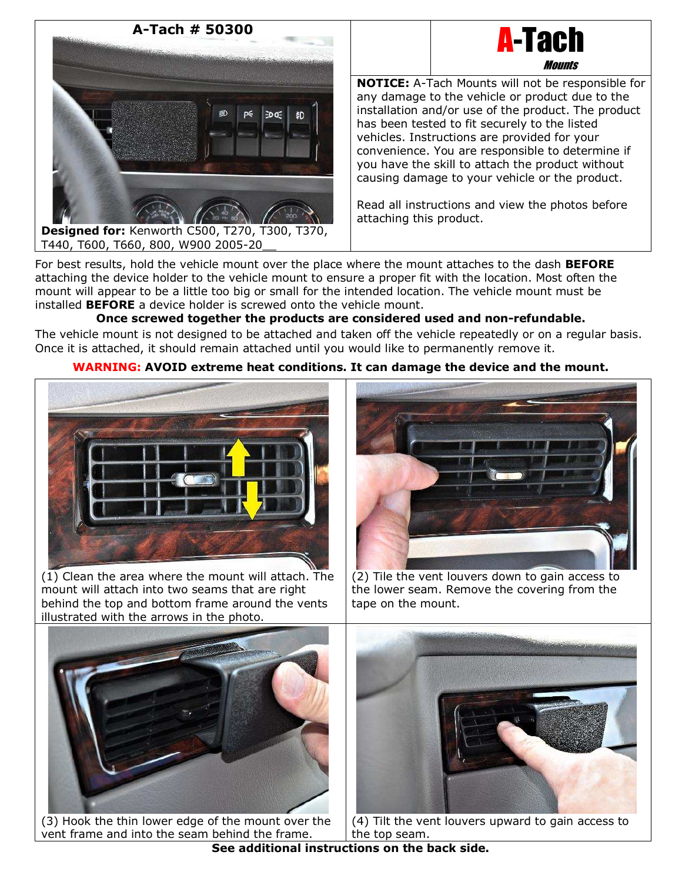

**Mounts NOTICE:** A-Tach Mounts will not be responsible for any damage to the vehicle or product due to the installation and/or use of the product. The product has been tested to fit securely to the listed vehicles. Instructions are provided for your convenience. You are responsible to determine if you have the skill to attach the product without causing damage to your vehicle or the product.

A-Tach

Read all instructions and view the photos before attaching this product.

For best results, hold the vehicle mount over the place where the mount attaches to the dash **BEFORE** attaching the device holder to the vehicle mount to ensure a proper fit with the location. Most often the mount will appear to be a little too big or small for the intended location. The vehicle mount must be installed **BEFORE** a device holder is screwed onto the vehicle mount.

# **Once screwed together the products are considered used and non-refundable.**

The vehicle mount is not designed to be attached and taken off the vehicle repeatedly or on a regular basis. Once it is attached, it should remain attached until you would like to permanently remove it.

# **WARNING: AVOID extreme heat conditions. It can damage the device and the mount.**



(1) Clean the area where the mount will attach. The mount will attach into two seams that are right behind the top and bottom frame around the vents illustrated with the arrows in the photo.



(2) Tile the vent louvers down to gain access to the lower seam. Remove the covering from the tape on the mount.



(3) Hook the thin lower edge of the mount over the vent frame and into the seam behind the frame.



(4) Tilt the vent louvers upward to gain access to the top seam.

**See additional instructions on the back side.**